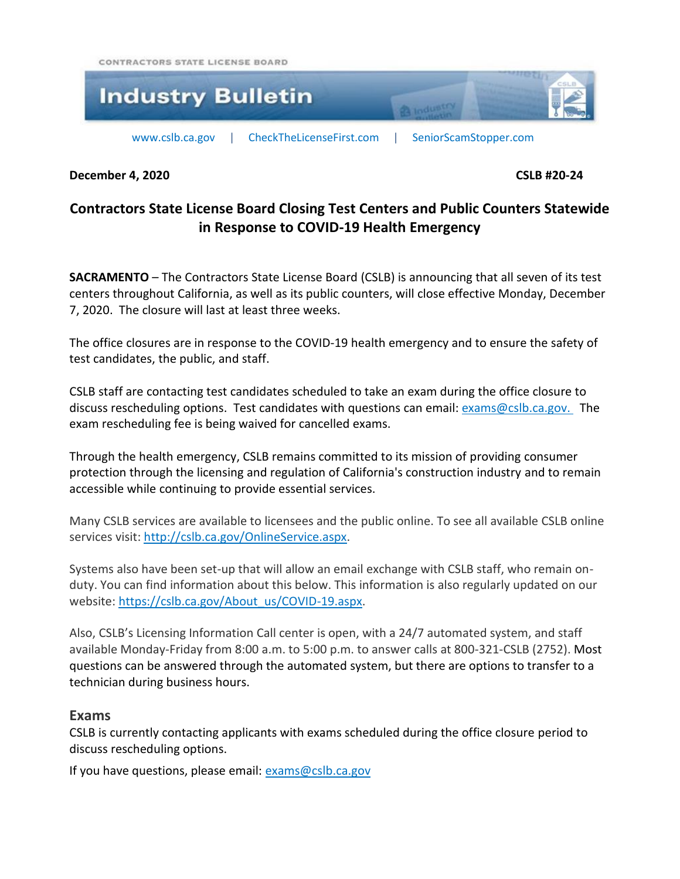CONTRACTORS STATE LICENSE BOARD



**December 4, 2020 CSLB #20-24**

# **Contractors State License Board Closing Test Centers and Public Counters Statewide in Response to COVID-19 Health Emergency**

**SACRAMENTO** – The Contractors State License Board (CSLB) is announcing that all seven of its test centers throughout California, as well as its public counters, will close effective Monday, December 7, 2020. The closure will last at least three weeks.

The office closures are in response to the COVID-19 health emergency and to ensure the safety of test candidates, the public, and staff.

CSLB staff are contacting test candidates scheduled to take an exam during the office closure to discuss rescheduling options. Test candidates with questions can email: [exams@cslb.ca.gov.](mailto:exams@cslb.ca.gov?subject=Exam%20Rescheduling%20(Industry%20Bulletin)) The exam rescheduling fee is being waived for cancelled exams.

Through the health emergency, CSLB remains committed to its mission of providing consumer protection through the licensing and regulation of California's construction industry and to remain accessible while continuing to provide essential services.

Many CSLB services are available to licensees and the public online. To see all available CSLB online services visit: [http://cslb.ca.gov/OnlineService.aspx.](http://cslb.ca.gov/OnlineService.aspx)

Systems also have been set-up that will allow an email exchange with CSLB staff, who remain onduty. You can find information about this below. This information is also regularly updated on our website[: https://cslb.ca.gov/About\\_us/COVID-19.aspx.](https://cslb.ca.gov/About_us/COVID-19.aspx)

Also, CSLB's Licensing Information Call center is open, with a 24/7 automated system, and staff available Monday-Friday from 8:00 a.m. to 5:00 p.m. to answer calls at 800-321-CSLB (2752). Most questions can be answered through the automated system, but there are options to transfer to a technician during business hours.

## **Exams**

CSLB is currently contacting applicants with exams scheduled during the office closure period to discuss rescheduling options.

If you have questions, please email: [exams@cslb.ca.gov](mailto:exams@cslb.ca.gov)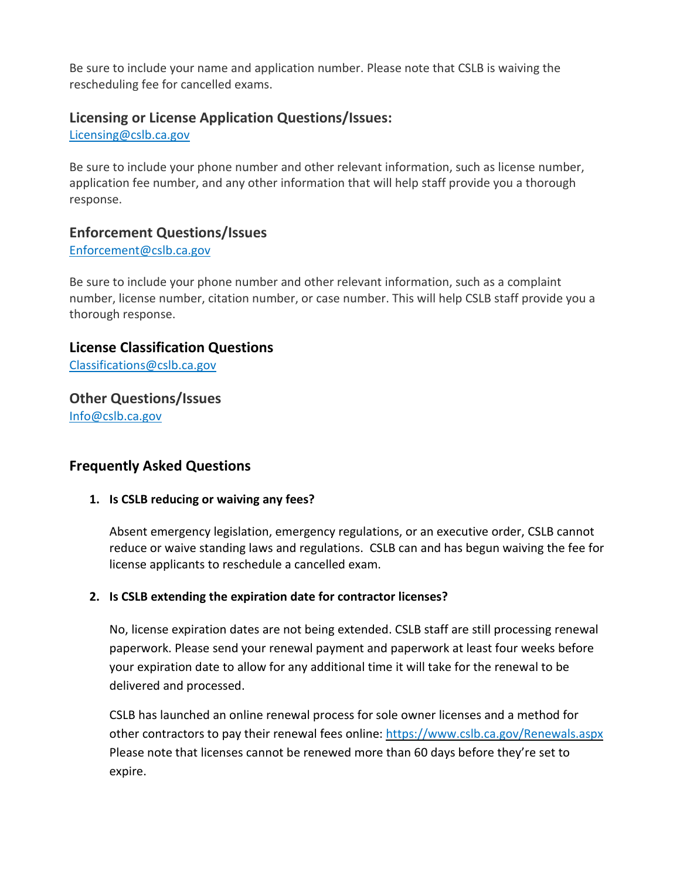Be sure to include your name and application number. Please note that CSLB is waiving the rescheduling fee for cancelled exams.

## **Licensing or License Application Questions/Issues:**

[Licensing@cslb.ca.gov](mailto:Licensing@cslb.ca.gov)

Be sure to include your phone number and other relevant information, such as license number, application fee number, and any other information that will help staff provide you a thorough response.

## **Enforcement Questions/Issues**

#### [Enforcement@cslb.ca.gov](mailto:Enforcement@cslb.ca.gov)

Be sure to include your phone number and other relevant information, such as a complaint number, license number, citation number, or case number. This will help CSLB staff provide you a thorough response.

## **License Classification Questions**

[Classifications@cslb.ca.gov](mailto:Classifications@cslb.ca.gov)

## **Other Questions/Issues** [Info@cslb.ca.gov](mailto:Info@cslb.ca.gov)

## **Frequently Asked Questions**

#### **1. Is CSLB reducing or waiving any fees?**

Absent emergency legislation, emergency regulations, or an executive order, CSLB cannot reduce or waive standing laws and regulations. CSLB can and has begun waiving the fee for license applicants to reschedule a cancelled exam.

#### **2. Is CSLB extending the expiration date for contractor licenses?**

No, license expiration dates are not being extended. CSLB staff are still processing renewal paperwork. Please send your renewal payment and paperwork at least four weeks before your expiration date to allow for any additional time it will take for the renewal to be delivered and processed.

CSLB has launched an online renewal process for sole owner licenses and a method for other contractors to pay their renewal fees online: <https://www.cslb.ca.gov/Renewals.aspx> Please note that licenses cannot be renewed more than 60 days before they're set to expire.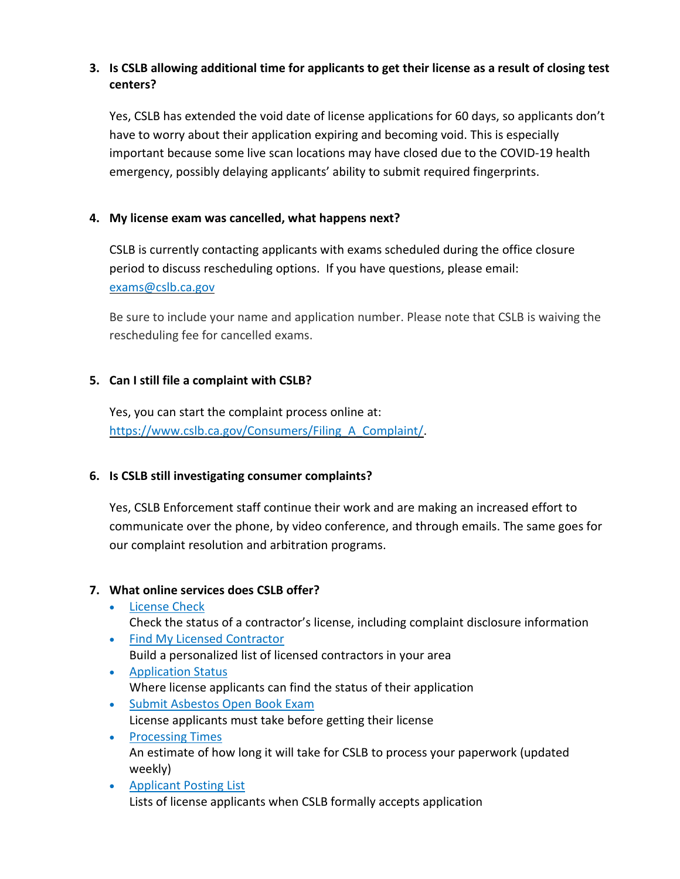## 3. Is CSLB allowing additional time for applicants to get their license as a result of closing test **centers?**

Yes, CSLB has extended the void date of license applications for 60 days, so applicants don't have to worry about their application expiring and becoming void. This is especially important because some live scan locations may have closed due to the COVID-19 health emergency, possibly delaying applicants' ability to submit required fingerprints.

## **4. My license exam was cancelled, what happens next?**

CSLB is currently contacting applicants with exams scheduled during the office closure period to discuss rescheduling options. If you have questions, please email: [exams@cslb.ca.gov](mailto:exams@cslb.ca.gov) 

Be sure to include your name and application number. Please note that CSLB is waiving the rescheduling fee for cancelled exams.

## **5. Can I still file a complaint with CSLB?**

Yes, you can start the complaint process online at: [https://www.cslb.ca.gov/Consumers/Filing\\_A\\_Complaint/.](https://www.cslb.ca.gov/Consumers/Filing_A_Complaint/)

## **6. Is CSLB still investigating consumer complaints?**

Yes, CSLB Enforcement staff continue their work and are making an increased effort to communicate over the phone, by video conference, and through emails. The same goes for our complaint resolution and arbitration programs.

## **7. What online services does CSLB offer?**

- [License](https://www.cslb.ca.gov/OnlineServices/CheckLicenseII/CheckLicense.aspx) Check Check the status of a contractor's license, including complaint disclosure information
- Find My Licensed [Contractor](https://www.cslb.ca.gov/OnlineServices/CheckLicenseII/ZipCodeSearch.aspx) Build a personalized list of licensed contractors in your area
- [Application](https://www.cslb.ca.gov/OnlineServices/CheckApplicationII/ApplicantRequest.aspx) Status Where license applicants can find the status of their application
- Submit [Asbestos](https://www.cslb.ca.gov/OnlineServices/WebApplication/InteractivePDFs/AbsOpenBookExam.aspx) Open Book Exam License applicants must take before getting their license
- [Processing](https://www.cslb.ca.gov/OnlineServices/ProcessingTimes/ProcessingTimes.aspx) Times An estimate of how long it will take for CSLB to process your paperwork (updated weekly)
- [Applicant](https://www.cslb.ca.gov/Consumers/Data.aspx) Posting List Lists of license applicants when CSLB formally accepts application